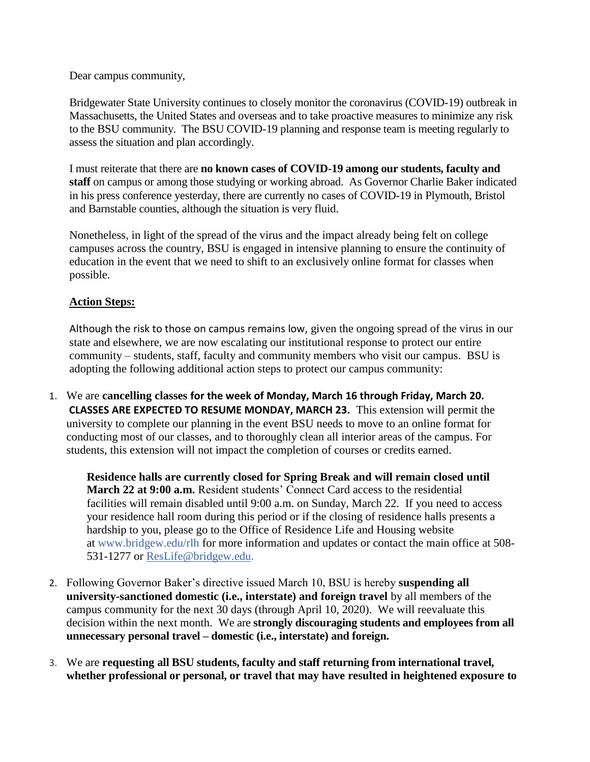Dear campus community,

Bridgewater State University continues to closely monitor the coronavirus (COVID-19) outbreak in Massachusetts, the United States and overseas and to take proactive measures to minimize any risk to the BSU community. The BSU COVID-19 planning and response team is meeting regularly to assess the situation and plan accordingly.

I must reiterate that there are **no known cases of COVID-19 among our students, faculty and staff** on campus or among those studying or working abroad. As Governor Charlie Baker indicated in his press conference yesterday, there are currently no cases of COVID-19 in Plymouth, Bristol and Barnstable counties, although the situation is very fluid.

Nonetheless, in light of the spread of the virus and the impact already being felt on college campuses across the country, BSU is engaged in intensive planning to ensure the continuity of education in the event that we need to shift to an exclusively online format for classes when possible.

## **Action Steps:**

Although the risk to those on campus remains low, given the ongoing spread of the virus in our state and elsewhere, we are now escalating our institutional response to protect our entire community – students, staff, faculty and community members who visit our campus. BSU is adopting the following additional action steps to protect our campus community:

1. We are **cancelling classes for the week of Monday, March 16 through Friday, March 20. CLASSES ARE EXPECTED TO RESUME MONDAY, MARCH 23.** This extension will permit the university to complete our planning in the event BSU needs to move to an online format for conducting most of our classes, and to thoroughly clean all interior areas of the campus. For students, this extension will not impact the completion of courses or credits earned.

**Residence halls are currently closed for Spring Break and will remain closed until March 22 at 9:00 a.m.** Resident students' Connect Card access to the residential facilities will remain disabled until 9:00 a.m. on Sunday, March 22. If you need to access your residence hall room during this period or if the closing of residence halls presents a hardship to you, please go to the Office of Residence Life and Housing website at [www.bridgew.edu/rlh](http://www.bridgew.edu/rlh) for more information and updates or contact the main office at 508- 531-1277 or [ResLife@bridgew.edu.](mailto:ResLife@bridgew.edu)

- 2. Following Governor Baker's directive issued March 10, BSU is hereby **suspending all university-sanctioned domestic (i.e., interstate) and foreign travel** by all members of the campus community for the next 30 days (through April 10, 2020). We will reevaluate this decision within the next month. We are **strongly discouraging students and employees from all unnecessary personal travel – domestic (i.e., interstate) and foreign.**
- 3. We are **requesting all BSU students, faculty and staff returning from international travel, whether professional or personal, or travel that may have resulted in heightened exposure to**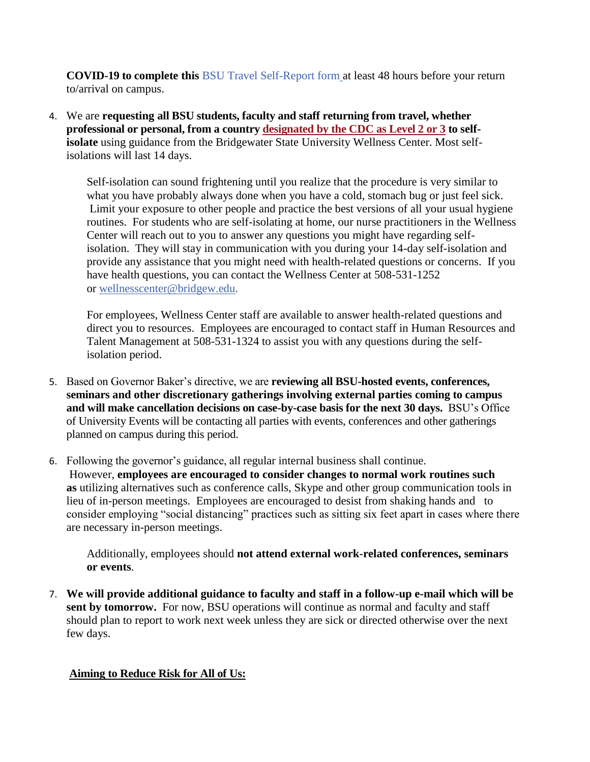**COVID-19 to complete this** [BSU Travel Self-Report form](https://bridgew.az1.qualtrics.com/jfe/form/SV_3CB9wQW7e7qsLKB) at least 48 hours before your return to/arrival on campus.

4. We are **requesting all BSU students, faculty and staff returning from travel, whether professional or personal, from a country [designated by the CDC as Level 2 or 3](https://nam04.safelinks.protection.outlook.com/?url=https%3A%2F%2Fwww.cdc.gov%2Fcoronavirus%2F2019-ncov%2Ftravelers%2Findex.html&data=02%7C01%7CMHegbloom%40bridgew.edu%7C02a26f50f7884c15e66908d7c604cbb2%7C48ec3bf8d1654eabbbeef8d5307f46e1%7C0%7C0%7C637195597156655246&sdata=JkFNynWC4vpuAlX7jyDFrFUZATQFJGb7SxFWVXLgrnE%3D&reserved=0) to selfisolate** using guidance from the Bridgewater State University Wellness Center. Most selfisolations will last 14 days.

Self-isolation can sound frightening until you realize that the procedure is very similar to what you have probably always done when you have a cold, stomach bug or just feel sick. Limit your exposure to other people and practice the best versions of all your usual hygiene routines. For students who are self-isolating at home, our nurse practitioners in the Wellness Center will reach out to you to answer any questions you might have regarding selfisolation. They will stay in communication with you during your 14-day self-isolation and provide any assistance that you might need with health-related questions or concerns. If you have health questions, you can contact the Wellness Center at 508-531-1252 or [wellnesscenter@bridgew.edu.](mailto:wellnesscenter@bridgew.edu)

For employees, Wellness Center staff are available to answer health-related questions and direct you to resources. Employees are encouraged to contact staff in Human Resources and Talent Management at 508-531-1324 to assist you with any questions during the selfisolation period.

- 5. Based on Governor Baker's directive, we are **reviewing all BSU-hosted events, conferences, seminars and other discretionary gatherings involving external parties coming to campus and will make cancellation decisions on case-by-case basis for the next 30 days.** BSU's Office of University Events will be contacting all parties with events, conferences and other gatherings planned on campus during this period.
- 6. Following the governor's guidance, all regular internal business shall continue. However, **employees are encouraged to consider changes to normal work routines such as** utilizing alternatives such as conference calls, Skype and other group communication tools in lieu of in-person meetings. Employees are encouraged to desist from shaking hands and to consider employing "social distancing" practices such as sitting six feet apart in cases where there are necessary in-person meetings.

Additionally, employees should **not attend external work-related conferences, seminars or events**.

7. **We will provide additional guidance to faculty and staff in a follow-up e-mail which will be**  sent by tomorrow. For now, BSU operations will continue as normal and faculty and staff should plan to report to work next week unless they are sick or directed otherwise over the next few days.

## **Aiming to Reduce Risk for All of Us:**